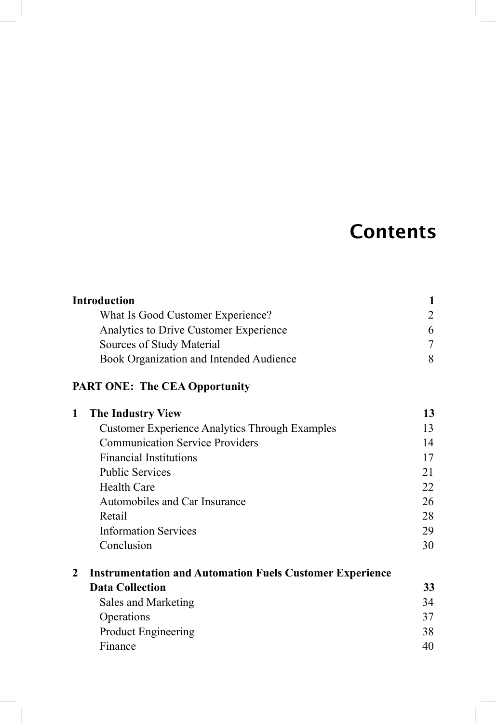## **Contents**

|                | <b>Introduction</b>                                             | 1              |
|----------------|-----------------------------------------------------------------|----------------|
|                | What Is Good Customer Experience?                               | $\overline{2}$ |
|                | Analytics to Drive Customer Experience                          | 6              |
|                | Sources of Study Material                                       | $\tau$         |
|                | Book Organization and Intended Audience                         | 8              |
|                | <b>PART ONE: The CEA Opportunity</b>                            |                |
| 1              | <b>The Industry View</b>                                        | 13             |
|                | <b>Customer Experience Analytics Through Examples</b>           | 13             |
|                | <b>Communication Service Providers</b>                          | 14             |
|                | <b>Financial Institutions</b>                                   | 17             |
|                | <b>Public Services</b>                                          | 21             |
|                | <b>Health Care</b>                                              | 22             |
|                | Automobiles and Car Insurance                                   | 26             |
|                | Retail                                                          | 28             |
|                | <b>Information Services</b>                                     | 29             |
|                | Conclusion                                                      | 30             |
| $\overline{2}$ | <b>Instrumentation and Automation Fuels Customer Experience</b> |                |
|                | <b>Data Collection</b>                                          | 33             |
|                | Sales and Marketing                                             | 34             |
|                | Operations                                                      | 37             |
|                | <b>Product Engineering</b>                                      | 38             |
|                | Finance                                                         | 40             |

 $\begin{array}{c} \hline \end{array}$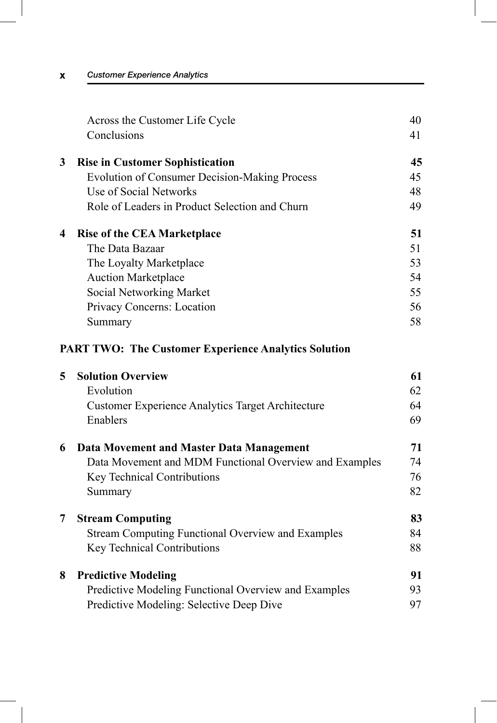|   | Across the Customer Life Cycle                              | 40 |
|---|-------------------------------------------------------------|----|
|   | Conclusions                                                 | 41 |
| 3 | <b>Rise in Customer Sophistication</b>                      | 45 |
|   | <b>Evolution of Consumer Decision-Making Process</b>        | 45 |
|   | Use of Social Networks                                      | 48 |
|   | Role of Leaders in Product Selection and Churn              | 49 |
| 4 | <b>Rise of the CEA Marketplace</b>                          | 51 |
|   | The Data Bazaar                                             | 51 |
|   | The Loyalty Marketplace                                     | 53 |
|   | <b>Auction Marketplace</b>                                  | 54 |
|   | Social Networking Market                                    | 55 |
|   | Privacy Concerns: Location                                  | 56 |
|   | Summary                                                     | 58 |
|   | <b>PART TWO: The Customer Experience Analytics Solution</b> |    |
| 5 | <b>Solution Overview</b>                                    | 61 |
|   | Evolution                                                   | 62 |
|   | <b>Customer Experience Analytics Target Architecture</b>    | 64 |
|   | Enablers                                                    | 69 |
| 6 | Data Movement and Master Data Management                    | 71 |
|   | Data Movement and MDM Functional Overview and Examples      | 74 |
|   | <b>Key Technical Contributions</b>                          | 76 |

|   | <b>Stream Computing</b>                                  | 83 |
|---|----------------------------------------------------------|----|
|   | <b>Stream Computing Functional Overview and Examples</b> | 84 |
|   | Key Technical Contributions                              | 88 |
| 8 | <b>Predictive Modeling</b>                               | 91 |
|   | Predictive Modeling Functional Overview and Examples     | 93 |
|   | Predictive Modeling: Selective Deep Dive                 |    |

Summary 82